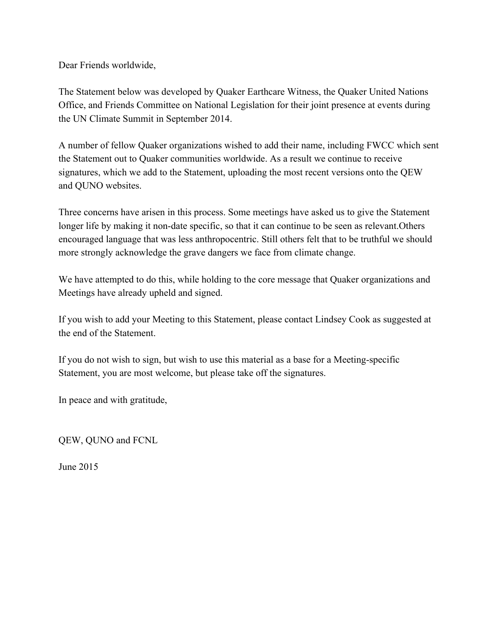Dear Friends worldwide,

The Statement below was developed by Quaker Earthcare Witness, the Quaker United Nations Office, and Friends Committee on National Legislation for their joint presence at events during the UN Climate Summit in September 2014.

A number of fellow Quaker organizations wished to add their name, including FWCC which sent the Statement out to Quaker communities worldwide. As a result we continue to receive signatures, which we add to the Statement, uploading the most recent versions onto the QEW and QUNO websites.

Three concerns have arisen in this process. Some meetings have asked us to give the Statement longer life by making it non-date specific, so that it can continue to be seen as relevant. Others encouraged language that was less anthropocentric. Still others felt that to be truthful we should more strongly acknowledge the grave dangers we face from climate change.

We have attempted to do this, while holding to the core message that Quaker organizations and Meetings have already upheld and signed.

If you wish to add your Meeting to this Statement, please contact Lindsey Cook as suggested at the end of the Statement.

If you do not wish to sign, but wish to use this material as a base for a Meeting-specific Statement, you are most welcome, but please take off the signatures.

In peace and with gratitude,

QEW, QUNO and FCNL

June 2015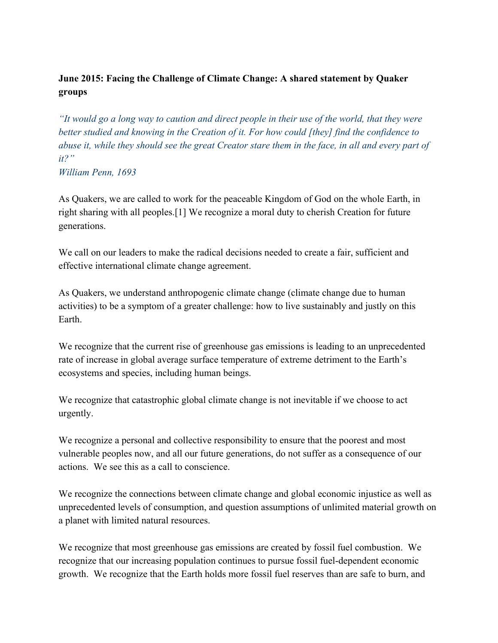## **June 2015: Facing the Challenge of Climate Change: A shared statement by Quaker groups**

"It would go a long way to caution and direct people in their use of the world, that they were *better studied and knowing in the Creation of it. For how could [they] find the confidence to* abuse it, while they should see the great Creator stare them in the face, in all and every part of *it?"*

## *William Penn, 1693*

As Quakers, we are called to work for the peaceable Kingdom of God on the whole Earth, in right sharing with all peoples.[1] We recognize a moral duty to cherish Creation for future generations.

We call on our leaders to make the radical decisions needed to create a fair, sufficient and effective international climate change agreement.

As Quakers, we understand anthropogenic climate change (climate change due to human activities) to be a symptom of a greater challenge: how to live sustainably and justly on this **Earth** 

We recognize that the current rise of greenhouse gas emissions is leading to an unprecedented rate of increase in global average surface temperature of extreme detriment to the Earth's ecosystems and species, including human beings.

We recognize that catastrophic global climate change is not inevitable if we choose to act urgently.

We recognize a personal and collective responsibility to ensure that the poorest and most vulnerable peoples now, and all our future generations, do not suffer as a consequence of our actions. We see this as a call to conscience.

We recognize the connections between climate change and global economic injustice as well as unprecedented levels of consumption, and question assumptions of unlimited material growth on a planet with limited natural resources.

We recognize that most greenhouse gas emissions are created by fossil fuel combustion. We recognize that our increasing population continues to pursue fossil fuel-dependent economic growth. We recognize that the Earth holds more fossil fuel reserves than are safe to burn, and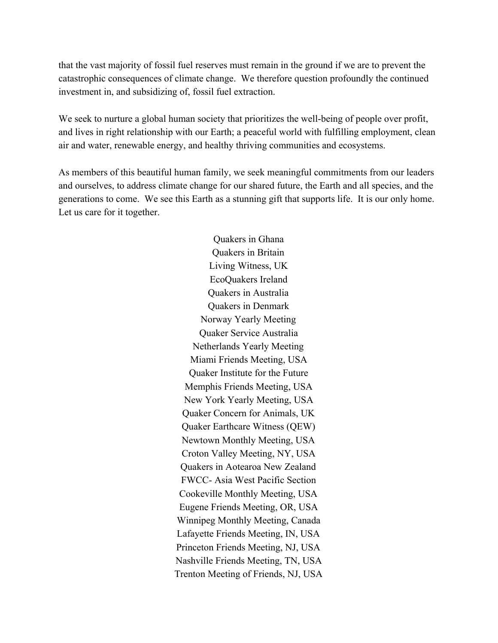that the vast majority of fossil fuel reserves must remain in the ground if we are to prevent the catastrophic consequences of climate change. We therefore question profoundly the continued investment in, and subsidizing of, fossil fuel extraction.

We seek to nurture a global human society that prioritizes the well-being of people over profit, and lives in right relationship with our Earth; a peaceful world with fulfilling employment, clean air and water, renewable energy, and healthy thriving communities and ecosystems.

As members of this beautiful human family, we seek meaningful commitments from our leaders and ourselves, to address climate change for our shared future, the Earth and all species, and the generations to come. We see this Earth as a stunning gift that supports life. It is our only home. Let us care for it together.

> Quakers in Ghana Quakers in Britain Living Witness, UK EcoQuakers Ireland Quakers in Australia Quakers in Denmark Norway Yearly Meeting Quaker Service Australia Netherlands Yearly Meeting Miami Friends Meeting, USA Quaker Institute for the Future Memphis Friends Meeting, USA New York Yearly Meeting, USA Quaker Concern for Animals, UK Quaker Earthcare Witness (QEW) Newtown Monthly Meeting, USA Croton Valley Meeting, NY, USA Quakers in Aotearoa New Zealand FWCC Asia West Pacific Section Cookeville Monthly Meeting, USA Eugene Friends Meeting, OR, USA Winnipeg Monthly Meeting, Canada Lafayette Friends Meeting, IN, USA Princeton Friends Meeting, NJ, USA Nashville Friends Meeting, TN, USA Trenton Meeting of Friends, NJ, USA